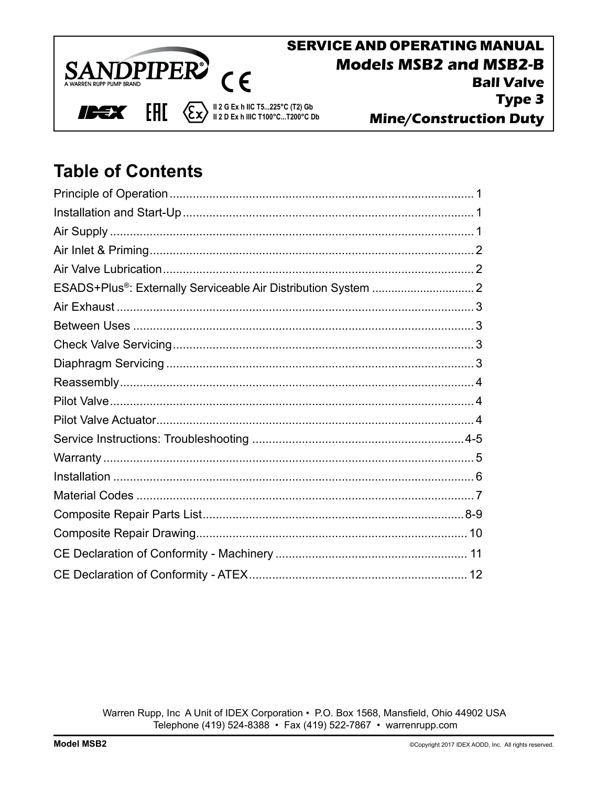

## **Table of Contents**

Warren Rupp, Inc A Unit of IDEX Corporation . P.O. Box 1568, Mansfield, Ohio 44902 USA Telephone (419) 524-8388 • Fax (419) 522-7867 • warrenrupp.com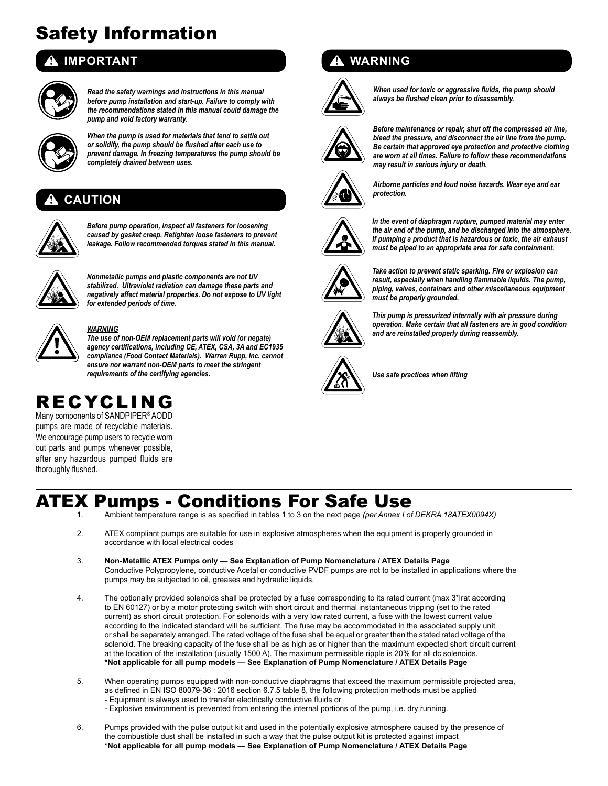# Safety Information

**IMPORTANT**



*Read the safety warnings and instructions in this manual before pump installation and start-up. Failure to comply with the recommendations stated in this manual could damage the pump and void factory warranty.*



*When the pump is used for materials that tend to settle out or solidify, the pump should be flushed after each use to prevent damage. In freezing temperatures the pump should be completely drained between uses.*

### **CAUTION**



*Before pump operation, inspect all fasteners for loosening caused by gasket creep. Retighten loose fasteners to prevent leakage. Follow recommended torques stated in this manual.*



*Nonmetallic pumps and plastic components are not UV stabilized. Ultraviolet radiation can damage these parts and negatively affect material properties. Do not expose to UV light for extended periods of time.*



#### *WARNING*

*The use of non-OEM replacement parts will void (or negate) agency certifications, including CE, ATEX, CSA, 3A and EC1935 compliance (Food Contact Materials). Warren Rupp, Inc. cannot ensure nor warrant non-OEM parts to meet the stringent requirements of the certifying agencies.* 

## RECYCLING

Many components of SANDPIPER® AODD pumps are made of recyclable materials. We encourage pump users to recycle worn out parts and pumps whenever possible, after any hazardous pumped fluids are thoroughly flushed.

### **WARNING**



*When used for toxic or aggressive fluids, the pump should always be flushed clean prior to disassembly.*



*Before maintenance or repair, shut off the compressed air line, bleed the pressure, and disconnect the air line from the pump. Be certain that approved eye protection and protective clothing are worn at all times. Failure to follow these recommendations may result in serious injury or death.*



*Airborne particles and loud noise hazards. Wear eye and ear protection.*



*In the event of diaphragm rupture, pumped material may enter the air end of the pump, and be discharged into the atmosphere. If pumping a product that is hazardous or toxic, the air exhaust must be piped to an appropriate area for safe containment.*



*Take action to prevent static sparking. Fire or explosion can result, especially when handling flammable liquids. The pump, piping, valves, containers and other miscellaneous equipment must be properly grounded.*



*This pump is pressurized internally with air pressure during operation. Make certain that all fasteners are in good condition and are reinstalled properly during reassembly.*



*Use safe practices when lifting*

# ATEX Pumps - Conditions For Safe Use

- Ambient temperature range is as specified in tables 1 to 3 on the next page *(per Annex I of DEKRA 18ATEX0094X)*
- 2. ATEX compliant pumps are suitable for use in explosive atmospheres when the equipment is properly grounded in accordance with local electrical codes
- 3. **Non-Metallic ATEX Pumps only See Explanation of Pump Nomenclature / ATEX Details Page** Conductive Polypropylene, conductive Acetal or conductive PVDF pumps are not to be installed in applications where the pumps may be subjected to oil, greases and hydraulic liquids.
- 4. The optionally provided solenoids shall be protected by a fuse corresponding to its rated current (max 3\*Irat according to EN 60127) or by a motor protecting switch with short circuit and thermal instantaneous tripping (set to the rated current) as short circuit protection. For solenoids with a very low rated current, a fuse with the lowest current value according to the indicated standard will be sufficient. The fuse may be accommodated in the associated supply unit or shall be separately arranged. The rated voltage of the fuse shall be equal or greater than the stated rated voltage of the solenoid. The breaking capacity of the fuse shall be as high as or higher than the maximum expected short circuit current at the location of the installation (usually 1500 A). The maximum permissible ripple is 20% for all dc solenoids. **\*Not applicable for all pump models — See Explanation of Pump Nomenclature / ATEX Details Page**
- 5. When operating pumps equipped with non-conductive diaphragms that exceed the maximum permissible projected area, as defined in EN ISO 80079-36 : 2016 section 6.7.5 table 8, the following protection methods must be applied - Equipment is always used to transfer electrically conductive fluids or
	- Explosive environment is prevented from entering the internal portions of the pump, i.e. dry running.
- 6. Pumps provided with the pulse output kit and used in the potentially explosive atmosphere caused by the presence of the combustible dust shall be installed in such a way that the pulse output kit is protected against impact **\*Not applicable for all pump models — See Explanation of Pump Nomenclature / ATEX Details Page**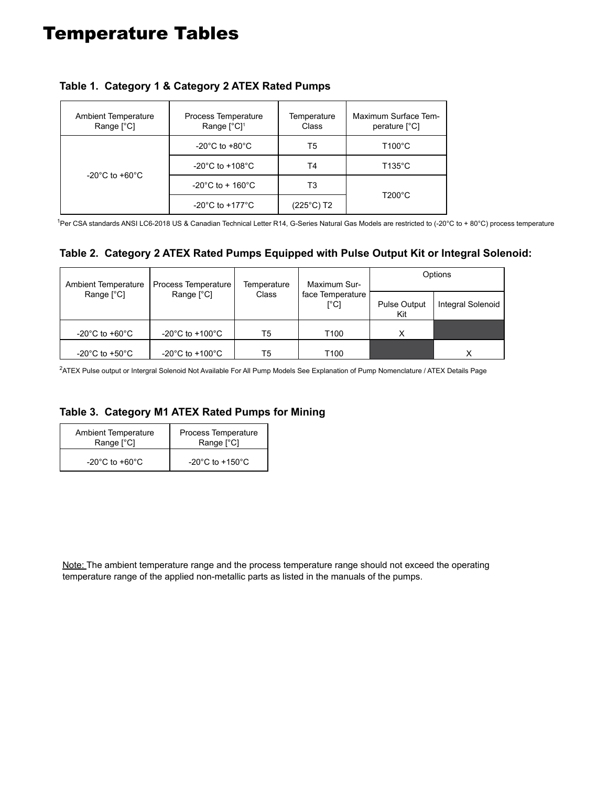## Temperature Tables

| <b>Ambient Temperature</b><br>Range [°C] | Process Temperature<br>Range [°C] <sup>1</sup> | Temperature<br>Class | Maximum Surface Tem-<br>perature [°C] |
|------------------------------------------|------------------------------------------------|----------------------|---------------------------------------|
|                                          | -20 $^{\circ}$ C to +80 $^{\circ}$ C           | T5                   | $T100^{\circ}$ C                      |
|                                          | -20 $^{\circ}$ C to +108 $^{\circ}$ C          | T4                   | $T135^{\circ}$ C                      |
| $-20^{\circ}$ C to $+60^{\circ}$ C       | $-20^{\circ}$ C to + 160 $^{\circ}$ C          | T3                   |                                       |
|                                          | -20 $^{\circ}$ C to +177 $^{\circ}$ C          | $(225^{\circ}C)$ T2  | $T200^{\circ}$ C                      |

#### **Table 1. Category 1 & Category 2 ATEX Rated Pumps**

<sup>1</sup>Per CSA standards ANSI LC6-2018 US & Canadian Technical Letter R14, G-Series Natural Gas Models are restricted to (-20°C to + 80°C) process temperature

#### **Table 2. Category 2 ATEX Rated Pumps Equipped with Pulse Output Kit or Integral Solenoid:**

| <b>Ambient Temperature</b>           | Process Temperature                   | Temperature    | Maximum Sur-                                  | Options                    |                   |
|--------------------------------------|---------------------------------------|----------------|-----------------------------------------------|----------------------------|-------------------|
| Range [°C]                           | Range [°C]                            | Class          | face Temperature<br>$\lceil{^{\circ}C}\rceil$ | <b>Pulse Output</b><br>Kit | Integral Solenoid |
| -20 $^{\circ}$ C to +60 $^{\circ}$ C | -20 $^{\circ}$ C to +100 $^{\circ}$ C | T <sub>5</sub> | T100                                          |                            |                   |
| -20 $^{\circ}$ C to +50 $^{\circ}$ C | -20 $^{\circ}$ C to +100 $^{\circ}$ C | T <sub>5</sub> | T100                                          |                            | х                 |

2 ATEX Pulse output or Intergral Solenoid Not Available For All Pump Models See Explanation of Pump Nomenclature / ATEX Details Page

#### **Table 3. Category M1 ATEX Rated Pumps for Mining**

| <b>Ambient Temperature</b>         | Process Temperature                 |
|------------------------------------|-------------------------------------|
| Range [°C]                         | Range [°C]                          |
| $-20^{\circ}$ C to $+60^{\circ}$ C | $-20^{\circ}$ C to $+150^{\circ}$ C |

Note: The ambient temperature range and the process temperature range should not exceed the operating temperature range of the applied non-metallic parts as listed in the manuals of the pumps.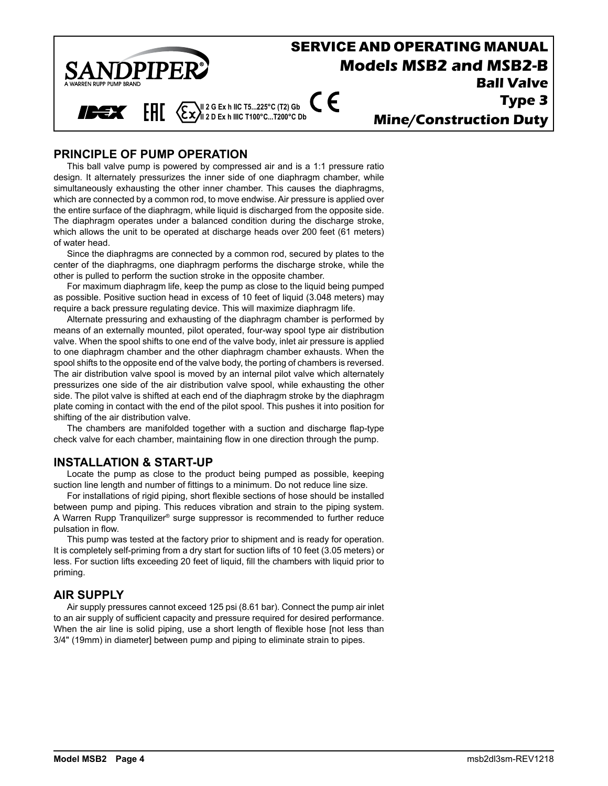

#### **PRINCIPLE OF PUMP OPERATION**

This ball valve pump is powered by compressed air and is a 1:1 pressure ratio design. It alternately pressurizes the inner side of one diaphragm chamber, while simultaneously exhausting the other inner chamber. This causes the diaphragms, which are connected by a common rod, to move endwise. Air pressure is applied over the entire surface of the diaphragm, while liquid is discharged from the opposite side. The diaphragm operates under a balanced condition during the discharge stroke, which allows the unit to be operated at discharge heads over 200 feet (61 meters) of water head.

Since the diaphragms are connected by a common rod, secured by plates to the center of the diaphragms, one diaphragm performs the discharge stroke, while the other is pulled to perform the suction stroke in the opposite chamber.

For maximum diaphragm life, keep the pump as close to the liquid being pumped as possible. Positive suction head in excess of 10 feet of liquid (3.048 meters) may require a back pressure regulating device. This will maximize diaphragm life.

Alternate pressuring and exhausting of the diaphragm chamber is performed by means of an externally mounted, pilot operated, four-way spool type air distribution valve. When the spool shifts to one end of the valve body, inlet air pressure is applied to one diaphragm chamber and the other diaphragm chamber exhausts. When the spool shifts to the opposite end of the valve body, the porting of chambers is reversed. The air distribution valve spool is moved by an internal pilot valve which alternately pressurizes one side of the air distribution valve spool, while exhausting the other side. The pilot valve is shifted at each end of the diaphragm stroke by the diaphragm plate coming in contact with the end of the pilot spool. This pushes it into position for shifting of the air distribution valve.

The chambers are manifolded together with a suction and discharge flap-type check valve for each chamber, maintaining flow in one direction through the pump.

### **INSTALLATION & START-UP**

Locate the pump as close to the product being pumped as possible, keeping suction line length and number of fittings to a minimum. Do not reduce line size.

For installations of rigid piping, short flexible sections of hose should be installed between pump and piping. This reduces vibration and strain to the piping system. A Warren Rupp Tranquilizer® surge suppressor is recommended to further reduce pulsation in flow.

This pump was tested at the factory prior to shipment and is ready for operation. It is completely self-priming from a dry start for suction lifts of 10 feet (3.05 meters) or less. For suction lifts exceeding 20 feet of liquid, fill the chambers with liquid prior to priming.

### **AIR SUPPLY**

Air supply pressures cannot exceed 125 psi (8.61 bar). Connect the pump air inlet to an air supply of sufficient capacity and pressure required for desired performance. When the air line is solid piping, use a short length of flexible hose [not less than 3/4" (19mm) in diameter] between pump and piping to eliminate strain to pipes.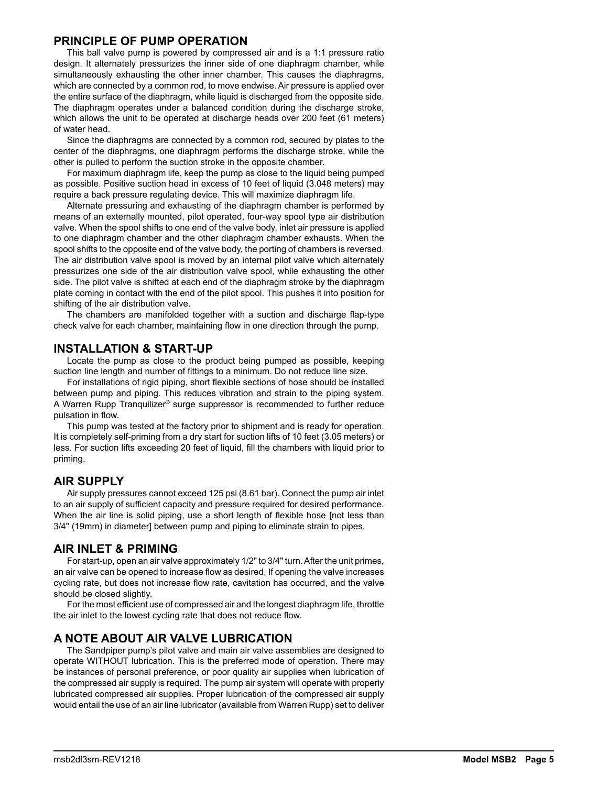#### **PRINCIPLE OF PUMP OPERATION**

This ball valve pump is powered by compressed air and is a 1:1 pressure ratio design. It alternately pressurizes the inner side of one diaphragm chamber, while simultaneously exhausting the other inner chamber. This causes the diaphragms, which are connected by a common rod, to move endwise. Air pressure is applied over the entire surface of the diaphragm, while liquid is discharged from the opposite side. The diaphragm operates under a balanced condition during the discharge stroke, which allows the unit to be operated at discharge heads over 200 feet (61 meters) of water head.

Since the diaphragms are connected by a common rod, secured by plates to the center of the diaphragms, one diaphragm performs the discharge stroke, while the other is pulled to perform the suction stroke in the opposite chamber.

For maximum diaphragm life, keep the pump as close to the liquid being pumped as possible. Positive suction head in excess of 10 feet of liquid (3.048 meters) may require a back pressure regulating device. This will maximize diaphragm life.

Alternate pressuring and exhausting of the diaphragm chamber is performed by means of an externally mounted, pilot operated, four-way spool type air distribution valve. When the spool shifts to one end of the valve body, inlet air pressure is applied to one diaphragm chamber and the other diaphragm chamber exhausts. When the spool shifts to the opposite end of the valve body, the porting of chambers is reversed. The air distribution valve spool is moved by an internal pilot valve which alternately pressurizes one side of the air distribution valve spool, while exhausting the other side. The pilot valve is shifted at each end of the diaphragm stroke by the diaphragm plate coming in contact with the end of the pilot spool. This pushes it into position for shifting of the air distribution valve.

The chambers are manifolded together with a suction and discharge flap-type check valve for each chamber, maintaining flow in one direction through the pump.

#### **INSTALLATION & START-UP**

Locate the pump as close to the product being pumped as possible, keeping suction line length and number of fittings to a minimum. Do not reduce line size.

For installations of rigid piping, short flexible sections of hose should be installed between pump and piping. This reduces vibration and strain to the piping system. A Warren Rupp Tranquilizer® surge suppressor is recommended to further reduce pulsation in flow.

This pump was tested at the factory prior to shipment and is ready for operation. It is completely self-priming from a dry start for suction lifts of 10 feet (3.05 meters) or less. For suction lifts exceeding 20 feet of liquid, fill the chambers with liquid prior to priming.

### **AIR SUPPLY**

Air supply pressures cannot exceed 125 psi (8.61 bar). Connect the pump air inlet to an air supply of sufficient capacity and pressure required for desired performance. When the air line is solid piping, use a short length of flexible hose [not less than 3/4" (19mm) in diameter] between pump and piping to eliminate strain to pipes.

#### **AIR INLET & PRIMING**

For start-up, open an air valve approximately 1/2" to 3/4" turn. After the unit primes, an air valve can be opened to increase flow as desired. If opening the valve increases cycling rate, but does not increase flow rate, cavitation has occurred, and the valve should be closed slightly.

For the most efficient use of compressed air and the longest diaphragm life, throttle the air inlet to the lowest cycling rate that does not reduce flow.

### **A NOTE ABOUT AIR VALVE LUBRICATION**

The Sandpiper pump's pilot valve and main air valve assemblies are designed to operate WITHOUT lubrication. This is the preferred mode of operation. There may be instances of personal preference, or poor quality air supplies when lubrication of the compressed air supply is required. The pump air system will operate with properly lubricated compressed air supplies. Proper lubrication of the compressed air supply would entail the use of an air line lubricator (available from Warren Rupp) set to deliver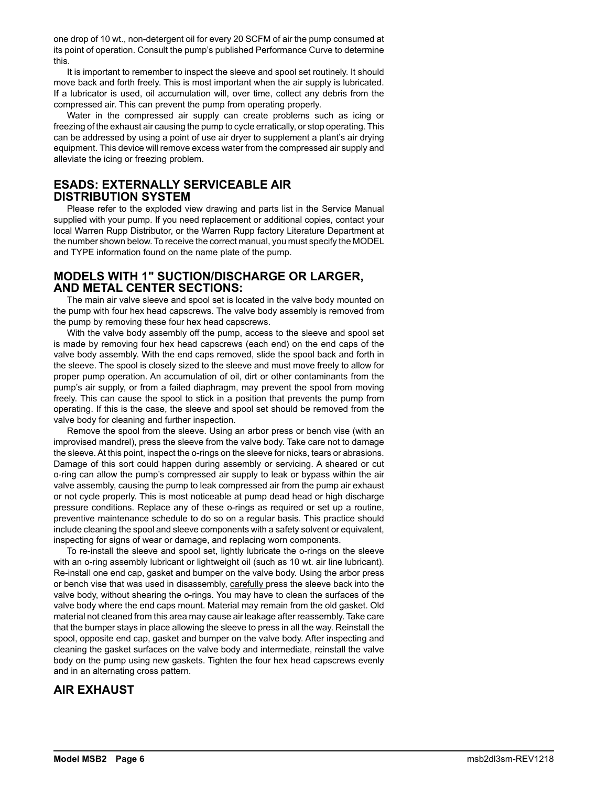one drop of 10 wt., non-detergent oil for every 20 SCFM of air the pump consumed at its point of operation. Consult the pump's published Performance Curve to determine this.

It is important to remember to inspect the sleeve and spool set routinely. It should move back and forth freely. This is most important when the air supply is lubricated. If a lubricator is used, oil accumulation will, over time, collect any debris from the compressed air. This can prevent the pump from operating properly.

Water in the compressed air supply can create problems such as icing or freezing of the exhaust air causing the pump to cycle erratically, or stop operating. This can be addressed by using a point of use air dryer to supplement a plant's air drying equipment. This device will remove excess water from the compressed air supply and alleviate the icing or freezing problem.

#### **ESADS: EXTERNALLY SERVICEABLE AIR DISTRIBUTION SYSTEM**

Please refer to the exploded view drawing and parts list in the Service Manual supplied with your pump. If you need replacement or additional copies, contact your local Warren Rupp Distributor, or the Warren Rupp factory Literature Department at the number shown below. To receive the correct manual, you must specify the MODEL and TYPE information found on the name plate of the pump.

#### **MODELS WITH 1" SUCTION/DISCHARGE OR LARGER, AND METAL CENTER SECTIONS:**

The main air valve sleeve and spool set is located in the valve body mounted on the pump with four hex head capscrews. The valve body assembly is removed from the pump by removing these four hex head capscrews.

With the valve body assembly off the pump, access to the sleeve and spool set is made by removing four hex head capscrews (each end) on the end caps of the valve body assembly. With the end caps removed, slide the spool back and forth in the sleeve. The spool is closely sized to the sleeve and must move freely to allow for proper pump operation. An accumulation of oil, dirt or other contaminants from the pump's air supply, or from a failed diaphragm, may prevent the spool from moving freely. This can cause the spool to stick in a position that prevents the pump from operating. If this is the case, the sleeve and spool set should be removed from the valve body for cleaning and further inspection.

Remove the spool from the sleeve. Using an arbor press or bench vise (with an improvised mandrel), press the sleeve from the valve body. Take care not to damage the sleeve. At this point, inspect the o-rings on the sleeve for nicks, tears or abrasions. Damage of this sort could happen during assembly or servicing. A sheared or cut o-ring can allow the pump's compressed air supply to leak or bypass within the air valve assembly, causing the pump to leak compressed air from the pump air exhaust or not cycle properly. This is most noticeable at pump dead head or high discharge pressure conditions. Replace any of these o-rings as required or set up a routine, preventive maintenance schedule to do so on a regular basis. This practice should include cleaning the spool and sleeve components with a safety solvent or equivalent, inspecting for signs of wear or damage, and replacing worn components.

To re-install the sleeve and spool set, lightly lubricate the o-rings on the sleeve with an o-ring assembly lubricant or lightweight oil (such as 10 wt. air line lubricant). Re-install one end cap, gasket and bumper on the valve body. Using the arbor press or bench vise that was used in disassembly, carefully press the sleeve back into the valve body, without shearing the o-rings. You may have to clean the surfaces of the valve body where the end caps mount. Material may remain from the old gasket. Old material not cleaned from this area may cause air leakage after reassembly. Take care that the bumper stays in place allowing the sleeve to press in all the way. Reinstall the spool, opposite end cap, gasket and bumper on the valve body. After inspecting and cleaning the gasket surfaces on the valve body and intermediate, reinstall the valve body on the pump using new gaskets. Tighten the four hex head capscrews evenly and in an alternating cross pattern.

### **AIR EXHAUST**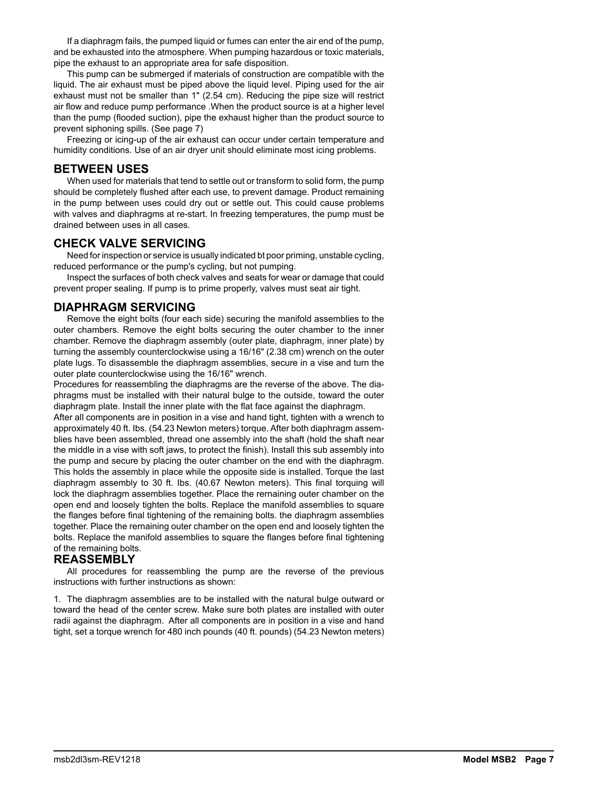If a diaphragm fails, the pumped liquid or fumes can enter the air end of the pump, and be exhausted into the atmosphere. When pumping hazardous or toxic materials, pipe the exhaust to an appropriate area for safe disposition.

This pump can be submerged if materials of construction are compatible with the liquid. The air exhaust must be piped above the liquid level. Piping used for the air exhaust must not be smaller than 1" (2.54 cm). Reducing the pipe size will restrict air flow and reduce pump performance .When the product source is at a higher level than the pump (flooded suction), pipe the exhaust higher than the product source to prevent siphoning spills. (See page 7)

Freezing or icing-up of the air exhaust can occur under certain temperature and humidity conditions. Use of an air dryer unit should eliminate most icing problems.

#### **BETWEEN USES**

When used for materials that tend to settle out or transform to solid form, the pump should be completely flushed after each use, to prevent damage. Product remaining in the pump between uses could dry out or settle out. This could cause problems with valves and diaphragms at re-start. In freezing temperatures, the pump must be drained between uses in all cases.

#### **CHECK VALVE SERVICING**

Need for inspection or service is usually indicated bt poor priming, unstable cycling, reduced performance or the pump's cycling, but not pumping.

Inspect the surfaces of both check valves and seats for wear or damage that could prevent proper sealing. If pump is to prime properly, valves must seat air tight.

#### **DIAPHRAGM SERVICING**

Remove the eight bolts (four each side) securing the manifold assemblies to the outer chambers. Remove the eight bolts securing the outer chamber to the inner chamber. Remove the diaphragm assembly (outer plate, diaphragm, inner plate) by turning the assembly counterclockwise using a 16/16" (2.38 cm) wrench on the outer plate lugs. To disassemble the diaphragm assemblies, secure in a vise and turn the outer plate counterclockwise using the 16/16" wrench.

Procedures for reassembling the diaphragms are the reverse of the above. The diaphragms must be installed with their natural bulge to the outside, toward the outer diaphragm plate. Install the inner plate with the flat face against the diaphragm.

After all components are in position in a vise and hand tight, tighten with a wrench to approximately 40 ft. Ibs. (54.23 Newton meters) torque. After both diaphragm assemblies have been assembled, thread one assembly into the shaft (hold the shaft near the middle in a vise with soft jaws, to protect the finish). Install this sub assembly into the pump and secure by placing the outer chamber on the end with the diaphragm. This holds the assembly in place while the opposite side is installed. Torque the last diaphragm assembly to 30 ft. Ibs. (40.67 Newton meters). This final torquing will lock the diaphragm assemblies together. Place the rernaining outer chamber on the open end and loosely tighten the bolts. Replace the manifold assemblies to square the flanges before final tightening of the remaining bolts. the diaphragm assemblies together. Place the rernaining outer chamber on the open end and loosely tighten the bolts. Replace the manifold assemblies to square the flanges before final tightening of the remaining bolts.

#### **REASSEMBLY**

All procedures for reassembling the pump are the reverse of the previous instructions with further instructions as shown:

1. The diaphragm assemblies are to be installed with the natural bulge outward or toward the head of the center screw. Make sure both plates are installed with outer radii against the diaphragm. After all components are in position in a vise and hand tight, set a torque wrench for 480 inch pounds (40 ft. pounds) (54.23 Newton meters)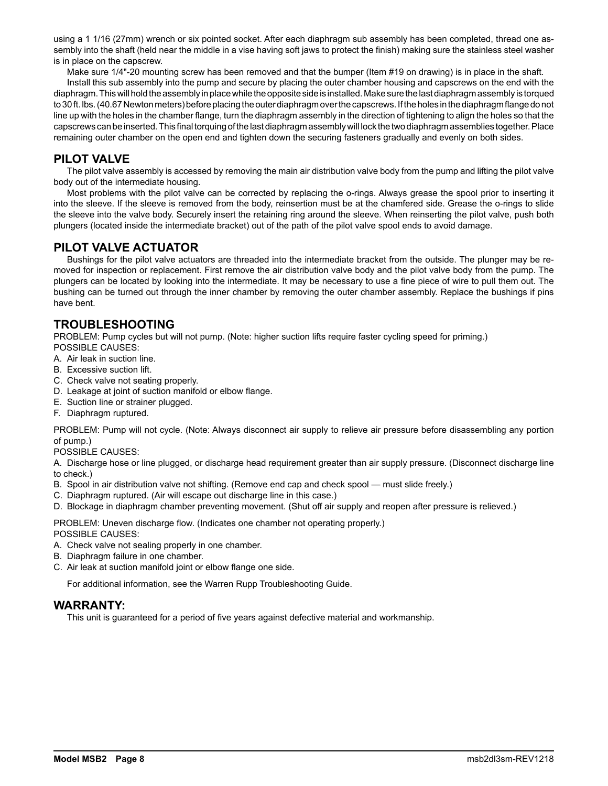using a 1 1/16 (27mm) wrench or six pointed socket. After each diaphragm sub assembly has been completed, thread one assembly into the shaft (held near the middle in a vise having soft jaws to protect the finish) making sure the stainless steel washer is in place on the capscrew.

Make sure 1/4"-20 mounting screw has been removed and that the bumper (Item #19 on drawing) is in place in the shaft.

Install this sub assembly into the pump and secure by placing the outer chamber housing and capscrews on the end with the diaphragm. This will hold the assembly in place while the opposite side is installed. Make sure the last diaphragm assembly is torqued to 30 ft. lbs. (40.67 Newton meters) before placing the outer diaphragm over the capscrews. If the holes in the diaphragm flange do not line up with the holes in the chamber flange, turn the diaphragm assembly in the direction of tightening to align the holes so that the capscrews can be inserted. This final torquing of the last diaphragm assembly will lock the two diaphragm assemblies together. Place remaining outer chamber on the open end and tighten down the securing fasteners gradually and evenly on both sides.

#### **PILOT VALVE**

The pilot valve assembly is accessed by removing the main air distribution valve body from the pump and lifting the pilot valve body out of the intermediate housing.

Most problems with the pilot valve can be corrected by replacing the o-rings. Always grease the spool prior to inserting it into the sleeve. If the sleeve is removed from the body, reinsertion must be at the chamfered side. Grease the o-rings to slide the sleeve into the valve body. Securely insert the retaining ring around the sleeve. When reinserting the pilot valve, push both plungers (located inside the intermediate bracket) out of the path of the pilot valve spool ends to avoid damage.

#### **PILOT VALVE ACTUATOR**

Bushings for the pilot valve actuators are threaded into the intermediate bracket from the outside. The plunger may be removed for inspection or replacement. First remove the air distribution valve body and the pilot valve body from the pump. The plungers can be located by looking into the intermediate. It may be necessary to use a fine piece of wire to pull them out. The bushing can be turned out through the inner chamber by removing the outer chamber assembly. Replace the bushings if pins have bent.

#### **TROUBLESHOOTING**

PROBLEM: Pump cycles but will not pump. (Note: higher suction lifts require faster cycling speed for priming.) POSSIBLE CAUSES:

- A. Air leak in suction line.
- B. Excessive suction lift.
- C. Check valve not seating properly.
- D. Leakage at joint of suction manifold or elbow flange.
- E. Suction line or strainer plugged.
- F. Diaphragm ruptured.

PROBLEM: Pump will not cycle. (Note: Always disconnect air supply to relieve air pressure before disassembling any portion of pump.)

POSSIBLE CAUSES:

A. Discharge hose or line plugged, or discharge head requirement greater than air supply pressure. (Disconnect discharge line to check.)

- B. Spool in air distribution valve not shifting. (Remove end cap and check spool must slide freely.)
- C. Diaphragm ruptured. (Air will escape out discharge line in this case.)

D. Blockage in diaphragm chamber preventing movement. (Shut off air supply and reopen after pressure is relieved.)

PROBLEM: Uneven discharge flow. (Indicates one chamber not operating properly.)

POSSIBLE CAUSES:

- A. Check valve not sealing properly in one chamber.
- B. Diaphragm failure in one chamber.
- C. Air leak at suction manifold joint or elbow flange one side.

For additional information, see the Warren Rupp Troubleshooting Guide.

#### **WARRANTY:**

This unit is guaranteed for a period of five years against defective material and workmanship.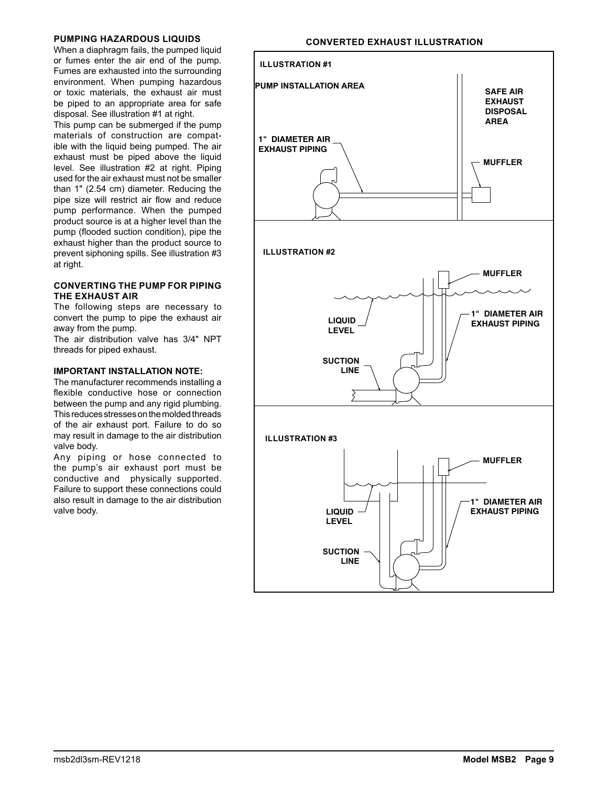#### **PUMPING HAZARDOUS LIQUIDS**

When a diaphragm fails, the pumped liquid or fumes enter the air end of the pump. Fumes are exhausted into the surrounding environment. When pumping hazardous or toxic materials, the exhaust air must be piped to an appropriate area for safe disposal. See illustration #1 at right.

This pump can be submerged if the pump materials of construction are compatible with the liquid being pumped. The air exhaust must be piped above the liquid level. See illustration #2 at right. Piping used for the air exhaust must not be smaller than 1" (2.54 cm) diameter. Reducing the pipe size will restrict air flow and reduce pump performance. When the pumped product source is at a higher level than the pump (flooded suction condition), pipe the exhaust higher than the product source to prevent siphoning spills. See illustration #3 at right.

#### **CONVERTING THE PUMP FOR PIPING THE EXHAUST AIR**

The following steps are necessary to convert the pump to pipe the exhaust air away from the pump.

The air distribution valve has 3/4" NPT threads for piped exhaust.

#### **IMPORTANT INSTALLATION NOTE:**

The manufacturer recommends installing a flexible conductive hose or connection between the pump and any rigid plumbing. This reduces stresses on the molded threads of the air exhaust port. Failure to do so may result in damage to the air distribution valve body.

Any piping or hose connected to the pump's air exhaust port must be conductive and physically supported. Failure to support these connections could also result in damage to the air distribution valve body.

#### **CONVERTED EXHAUST ILLUSTRATION**

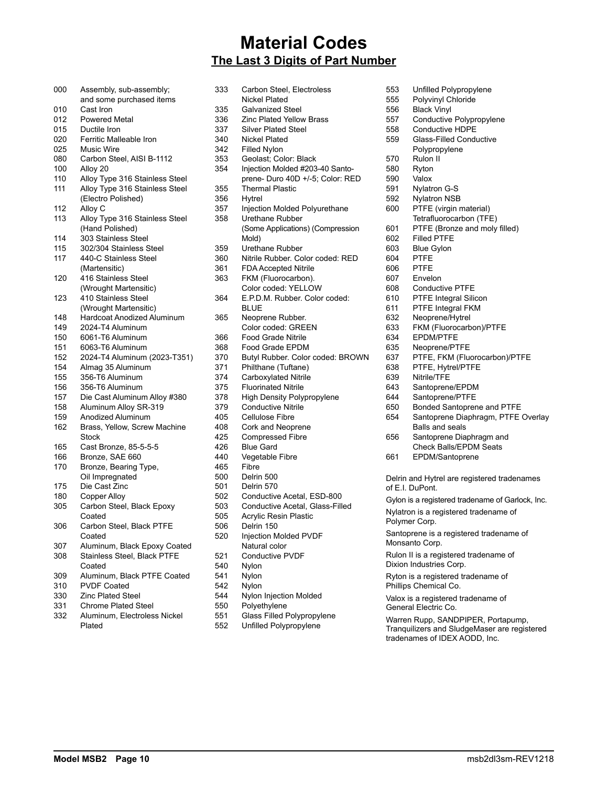## **Material Codes The Last 3 Digits of Part Number**

| 000 | Assembly, sub-assembly;                |
|-----|----------------------------------------|
|     | and some purchased items               |
| 010 | Cast Iron                              |
| 012 | Powered Metal                          |
| 015 | Ductile Iron                           |
| 020 | Ferritic Malleable Iron                |
| 025 | <b>Music Wire</b>                      |
| 080 | Carbon Steel, AISI B-1112              |
| 100 | Alloy 20                               |
| 110 | Alloy Type 316 Stainless Steel         |
| 111 | Alloy Type 316 Stainless Steel         |
|     | (Electro Polished)                     |
| 112 | Alloy C                                |
| 113 |                                        |
|     | Alloy Type 316 Stainless Steel         |
|     | (Hand Polished)<br>303 Stainless Steel |
| 114 |                                        |
| 115 | 302/304 Stainless Steel                |
| 117 | 440-C Stainless Steel                  |
|     | (Martensitic)                          |
| 120 | 416 Stainless Steel                    |
|     | (Wrought Martensitic)                  |
| 123 | 410 Stainless Steel                    |
|     | (Wrought Martensitic)                  |
| 148 | <b>Hardcoat Anodized Aluminum</b>      |
| 149 | 2024-T4 Aluminum                       |
| 150 | 6061-T6 Aluminum                       |
| 151 | 6063-T6 Aluminum                       |
| 152 | 2024-T4 Aluminum (2023-T351)           |
| 154 | Almag 35 Aluminum                      |
| 155 | 356-T6 Aluminum                        |
| 156 | 356-T6 Aluminum                        |
| 157 | Die Cast Aluminum Alloy #380           |
| 158 | Aluminum Alloy SR-319                  |
| 159 | Anodized Aluminum                      |
| 162 | Brass, Yellow, Screw Machine           |
|     | Stock                                  |
| 165 | Cast Bronze, 85-5-5-5                  |
| 166 | Bronze, SAE 660                        |
| 170 | Bronze, Bearing Type,                  |
|     | Oil Impregnated                        |
| 175 | Die Cast Zinc                          |
| 180 | <b>Copper Alloy</b>                    |
| 305 | Carbon Steel, Black Epoxy              |
|     |                                        |
|     | Coated                                 |
| 306 | Carbon Steel, Black PTFE               |
|     | Coated                                 |
| 307 | Aluminum, Black Epoxy Coated           |
| 308 | Stainless Steel, Black PTFE            |
|     | Coated                                 |
| 309 | Aluminum, Black PTFE Coated            |
| 310 | <b>PVDF Coated</b>                     |
| 330 | <b>Zinc Plated Steel</b>               |
| 331 | Chrome Plated Steel                    |

 Aluminum, Electroless Nickel Plated

| 333 | Carbon Steel, Electroless         |
|-----|-----------------------------------|
|     | Nickel Plated                     |
| 335 | <b>Galvanized Steel</b>           |
| 336 | Zinc Plated Yellow Brass          |
| 337 | <b>Silver Plated Steel</b>        |
| 340 | Nickel Plated                     |
| 342 | <b>Filled Nylon</b>               |
| 353 | Geolast; Color: Black             |
| 354 | Injection Molded #203-40 Santo-   |
|     | prene- Duro 40D +/-5; Color: RED  |
| 355 | <b>Thermal Plastic</b>            |
| 356 | Hytrel                            |
| 357 | Injection Molded Polyurethane     |
| 358 | Urethane Rubber                   |
|     | (Some Applications) (Compression  |
|     | Mold)                             |
| 359 | Urethane Rubber                   |
| 360 | Nitrile Rubber, Color coded: RED  |
| 361 | FDA Accepted Nitrile              |
| 363 | FKM (Fluorocarbon).               |
|     | Color coded: YELLOW               |
| 364 | E.P.D.M. Rubber, Color coded:     |
|     | BLUE                              |
| 365 | Neoprene Rubber.                  |
|     | Color coded: GREEN                |
| 366 | <b>Food Grade Nitrile</b>         |
| 368 | Food Grade EPDM                   |
| 370 | Butyl Rubber. Color coded: BROWN  |
| 371 | Philthane (Tuftane)               |
| 374 | Carboxylated Nitrile              |
| 375 | <b>Fluorinated Nitrile</b>        |
| 378 | <b>High Density Polypropylene</b> |
| 379 | <b>Conductive Nitrile</b>         |
| 405 | Cellulose Fibre                   |
| 408 | Cork and Neoprene                 |
| 425 | <b>Compressed Fibre</b>           |
| 426 | <b>Blue Gard</b>                  |
| 440 | Vegetable Fibre                   |
| 465 | Fibre                             |
| 500 | Delrin 500                        |
| 501 | Delrin 570                        |
| 502 | Conductive Acetal, ESD-800        |
| 503 | Conductive Acetal, Glass-Filled   |
| 505 | <b>Acrylic Resin Plastic</b>      |
| 506 | Delrin 150                        |
| 520 | Injection Molded PVDF             |
|     | Natural color                     |
| 521 | <b>Conductive PVDF</b>            |
| 540 | Nylon                             |
| 541 | Nylon                             |
| 542 | Nylon                             |
| 544 | Nylon Injection Molded            |
| 550 | Polyethylene                      |
| 551 | Glass Filled Polypropylene        |
| 552 | Unfilled Polypropylene            |
|     |                                   |

| 553             | Unfilled Polypropylene                             |
|-----------------|----------------------------------------------------|
| 555             | Polyvinyl Chloride                                 |
| 556             | <b>Black Vinyl</b>                                 |
| 557             | Conductive Polypropylene                           |
| 558             | Conductive HDPE                                    |
|                 |                                                    |
| 559             | Glass-Filled Conductive                            |
|                 | Polypropylene                                      |
| 570             | Rulon II                                           |
| 580             | Ryton                                              |
| 590             | Valox                                              |
| 591             | Nylatron G-S                                       |
| 592             | <b>Nylatron NSB</b>                                |
| 600             | PTFE (virgin material)                             |
|                 | Tetrafluorocarbon (TFE)                            |
| 601             | PTFE (Bronze and moly filled)                      |
| 602             | <b>Filled PTFE</b>                                 |
| 603             | <b>Blue Gylon</b>                                  |
| 604             | PTFE                                               |
|                 |                                                    |
| 606             | PTFE                                               |
| 607             | Envelon                                            |
| 608             | <b>Conductive PTFE</b>                             |
| 610             | PTFE Integral Silicon                              |
| 611             | PTFE Integral FKM                                  |
| 632             | Neoprene/Hytrel                                    |
| 633             | FKM (Fluorocarbon)/PTFE                            |
| 634             | EPDM/PTFE                                          |
| 635             | Neoprene/PTFE                                      |
| 637             | PTFE, FKM (Fluorocarbon)/PTFE                      |
| 638             | PTFE, Hytrel/PTFE                                  |
| 639             | Nitrile/TFE                                        |
| 643             | Santoprene/EPDM                                    |
| 644             | Santoprene/PTFE                                    |
| 650             | <b>Bonded Santoprene and PTFE</b>                  |
| 654             | Santoprene Diaphragm, PTFE Overlay                 |
|                 | Balls and seals                                    |
| 656             |                                                    |
|                 | Santoprene Diaphragm and<br>Check Balls/EPDM Seats |
|                 |                                                    |
| 661             | EPDM/Santoprene                                    |
|                 |                                                    |
|                 | Delrin and Hytrel are registered tradenames        |
| of E.I. DuPont. |                                                    |
|                 | Gylon is a registered tradename of Garlock, Inc.   |
|                 | Nylatron is a registered tradename of              |
| Polymer Corp.   |                                                    |
|                 | Santoprene is a registered tradename of            |
|                 | Monsanto Corp.                                     |
|                 | Rulon II is a registered tradename of              |
|                 | Dixion Industries Corp.                            |
|                 | Ryton is a registered tradename of                 |
|                 | Phillips Chemical Co.                              |
|                 |                                                    |
|                 | Valox is a registered tradename of                 |
|                 | General Electric Co.                               |
|                 | Warren Rupp, SANDPIPER, Portapump,                 |
|                 | Tranquilizers and SludgeMaser are registered       |
|                 | tradenames of IDEX AODD, Inc.                      |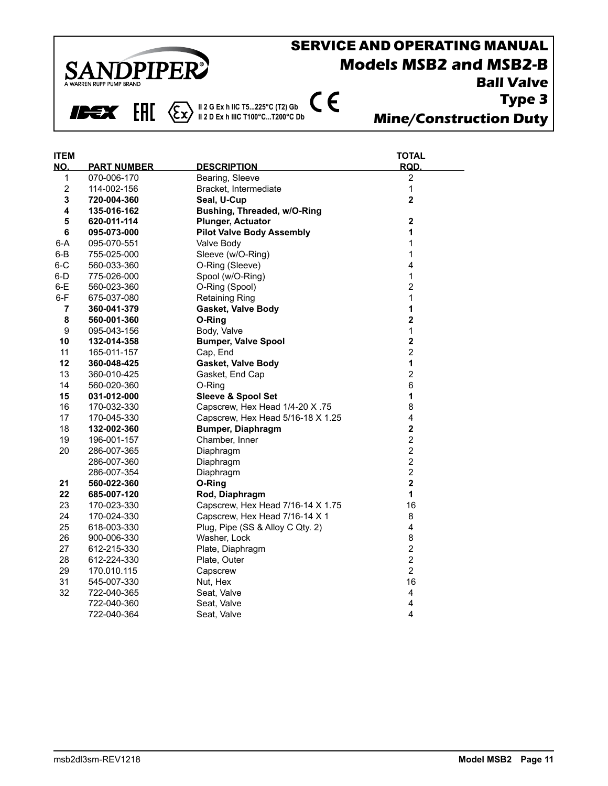

## SERVICE AND OPERATING MANUAL **Models MSB2 and MSB2-B Ball Valve**

**II 2 G Ex h IIC T5...225°C (T2) Gb II 2 D Ex h IIIC T100°C...T200°C Db**

**Type 3 Mine/Construction Duty**

| <b>ITEM</b>             |                    |                                   | TOTAL                   |
|-------------------------|--------------------|-----------------------------------|-------------------------|
| NO.                     | <b>PART NUMBER</b> | <b>DESCRIPTION</b>                | RQD.                    |
| 1                       | 070-006-170        | Bearing, Sleeve                   | $\overline{c}$          |
| $\boldsymbol{2}$        | 114-002-156        | Bracket, Intermediate             | $\mathbf{1}$            |
| 3                       | 720-004-360        | Seal, U-Cup                       | $\mathbf 2$             |
| 4                       | 135-016-162        | Bushing, Threaded, w/O-Ring       |                         |
| 5                       | 620-011-114        | <b>Plunger, Actuator</b>          | $\overline{\mathbf{2}}$ |
| $\bf 6$                 | 095-073-000        | <b>Pilot Valve Body Assembly</b>  | 1                       |
| 6-A                     | 095-070-551        | Valve Body                        | 1                       |
| $6-B$                   | 755-025-000        | Sleeve (w/O-Ring)                 | 1                       |
| $6-C$                   | 560-033-360        | O-Ring (Sleeve)                   | $\overline{4}$          |
| $6-D$                   | 775-026-000        | Spool (w/O-Ring)                  | 1                       |
| $6-E$                   | 560-023-360        | O-Ring (Spool)                    | $\overline{c}$          |
| $6-F$                   | 675-037-080        | <b>Retaining Ring</b>             | 1                       |
| $\overline{\mathbf{7}}$ | 360-041-379        | <b>Gasket, Valve Body</b>         | 1                       |
| 8                       | 560-001-360        | O-Ring                            | $\overline{\mathbf{2}}$ |
| 9                       | 095-043-156        | Body, Valve                       | 1                       |
| 10                      | 132-014-358        | <b>Bumper, Valve Spool</b>        | $\overline{\mathbf{2}}$ |
| 11                      | 165-011-157        | Cap, End                          | $\overline{2}$          |
| 12                      | 360-048-425        | <b>Gasket, Valve Body</b>         | 1                       |
| 13                      | 360-010-425        | Gasket, End Cap                   | $\overline{c}$          |
| 14                      | 560-020-360        | O-Ring                            | 6                       |
| 15                      | 031-012-000        | Sleeve & Spool Set                | 1                       |
| 16                      | 170-032-330        | Capscrew, Hex Head 1/4-20 X.75    | 8                       |
| 17                      | 170-045-330        | Capscrew, Hex Head 5/16-18 X 1.25 | 4                       |
| 18                      | 132-002-360        | <b>Bumper, Diaphragm</b>          | $\mathbf 2$             |
| 19                      | 196-001-157        | Chamber, Inner                    | $\overline{c}$          |
| 20                      | 286-007-365        | Diaphragm                         | $\overline{c}$          |
|                         | 286-007-360        | Diaphragm                         | $\overline{c}$          |
|                         | 286-007-354        | Diaphragm                         | $\overline{c}$          |
| 21                      | 560-022-360        | O-Ring                            | $\overline{\mathbf{2}}$ |
| 22                      | 685-007-120        | Rod, Diaphragm                    | 1                       |
| 23                      | 170-023-330        | Capscrew, Hex Head 7/16-14 X 1.75 | 16                      |
| 24                      | 170-024-330        | Capscrew, Hex Head 7/16-14 X 1    | 8                       |
| 25                      | 618-003-330        | Plug, Pipe (SS & Alloy C Qty. 2)  | 4                       |
| 26                      | 900-006-330        | Washer, Lock                      | 8                       |
| 27                      | 612-215-330        | Plate, Diaphragm                  | $\overline{c}$          |
| 28                      | 612-224-330        | Plate, Outer                      | $\overline{c}$          |
| 29                      | 170.010.115        | Capscrew                          | $\overline{2}$          |
| 31                      | 545-007-330        | Nut, Hex                          | 16                      |
| 32                      | 722-040-365        | Seat, Valve                       | $\overline{\mathbf{4}}$ |
|                         | 722-040-360        | Seat, Valve                       | 4                       |
|                         | 722-040-364        | Seat, Valve                       | $\overline{4}$          |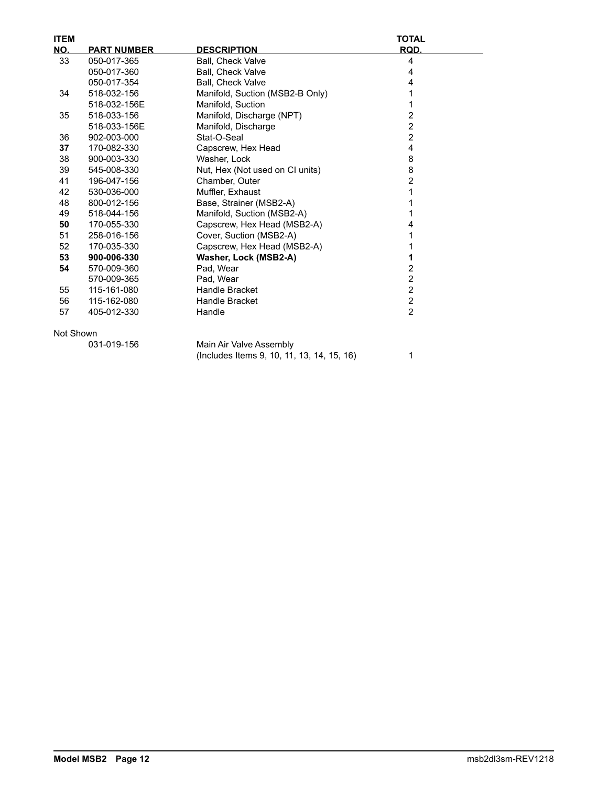| <b>ITEM</b> |                    |                                                                       | <b>TOTAL</b>     |  |
|-------------|--------------------|-----------------------------------------------------------------------|------------------|--|
| NO.         | <u>PART NUMBER</u> | <b>DESCRIPTION</b>                                                    | RQD.             |  |
| 33          | 050-017-365        | <b>Ball, Check Valve</b>                                              | 4                |  |
|             | 050-017-360        | <b>Ball, Check Valve</b>                                              | 4                |  |
|             | 050-017-354        | <b>Ball, Check Valve</b>                                              | 4                |  |
| 34          | 518-032-156        | Manifold, Suction (MSB2-B Only)                                       | 1                |  |
|             | 518-032-156E       | Manifold, Suction                                                     | 1                |  |
| 35          | 518-033-156        | Manifold, Discharge (NPT)                                             | $\overline{c}$   |  |
|             | 518-033-156E       | Manifold, Discharge                                                   | $\overline{c}$   |  |
| 36          | 902-003-000        | Stat-O-Seal                                                           | $\overline{2}$   |  |
| 37          | 170-082-330        | Capscrew, Hex Head                                                    | $\overline{4}$   |  |
| 38          | 900-003-330        | Washer, Lock                                                          | 8                |  |
| 39          | 545-008-330        | Nut, Hex (Not used on CI units)                                       | 8                |  |
| 41          | 196-047-156        | Chamber, Outer                                                        | $\overline{c}$   |  |
| 42          | 530-036-000        | Muffler, Exhaust                                                      |                  |  |
| 48          | 800-012-156        | Base, Strainer (MSB2-A)                                               |                  |  |
| 49          | 518-044-156        | Manifold, Suction (MSB2-A)                                            |                  |  |
| 50          | 170-055-330        | Capscrew, Hex Head (MSB2-A)                                           | 4                |  |
| 51          | 258-016-156        | Cover, Suction (MSB2-A)                                               |                  |  |
| 52          | 170-035-330        | Capscrew, Hex Head (MSB2-A)                                           |                  |  |
| 53          | 900-006-330        | Washer, Lock (MSB2-A)                                                 |                  |  |
| 54          | 570-009-360        | Pad, Wear                                                             | $\overline{c}$   |  |
|             | 570-009-365        | Pad, Wear                                                             | $\overline{c}$   |  |
| 55          | 115-161-080        | <b>Handle Bracket</b>                                                 | $\overline{2}$   |  |
| 56          | 115-162-080        | Handle Bracket                                                        | $\boldsymbol{2}$ |  |
| 57          | 405-012-330        | Handle                                                                | $\overline{2}$   |  |
| Not Shown   |                    |                                                                       |                  |  |
|             | 031-019-156        | Main Air Valve Assembly<br>(Includes Items 9, 10, 11, 13, 14, 15, 16) | 1                |  |
|             |                    |                                                                       |                  |  |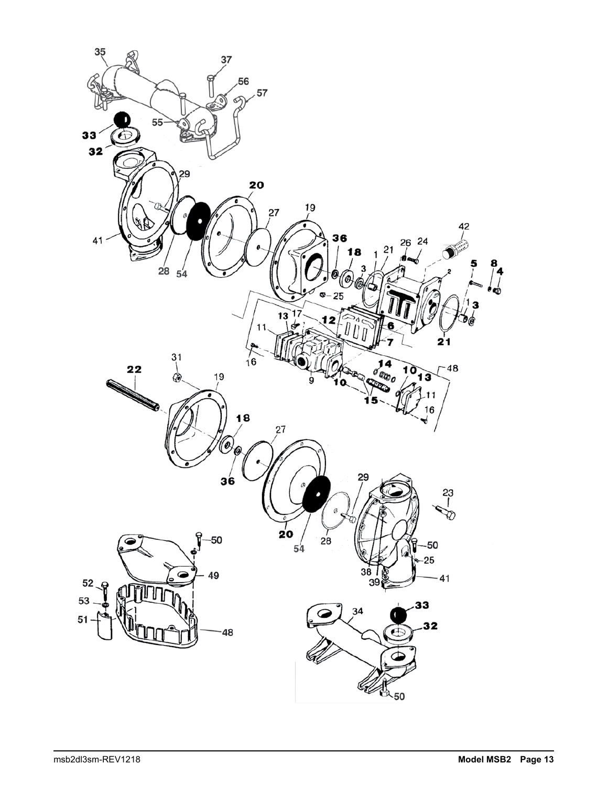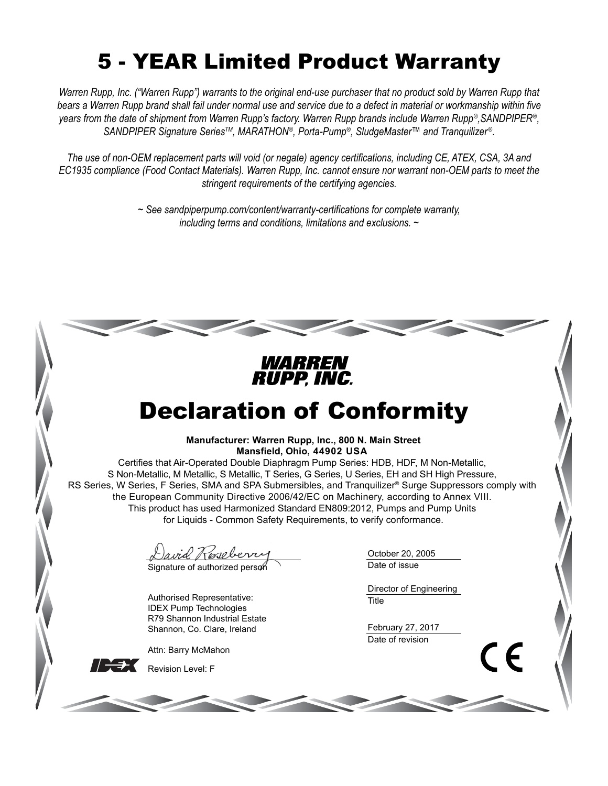# 5 - YEAR Limited Product Warranty

*Warren Rupp, Inc. ("Warren Rupp") warrants to the original end-use purchaser that no product sold by Warren Rupp that bears a Warren Rupp brand shall fail under normal use and service due to a defect in material or workmanship within five years from the date of shipment from Warren Rupp's factory. Warren Rupp brands include Warren Rupp®,SANDPIPER®,*  SANDPIPER Signature Series<sup>™</sup>, MARATHON®, Porta-Pump®, SludgeMaster™ and Tranquilizer®.

*The use of non-OEM replacement parts will void (or negate) agency certifications, including CE, ATEX, CSA, 3A and EC1935 compliance (Food Contact Materials). Warren Rupp, Inc. cannot ensure nor warrant non-OEM parts to meet the stringent requirements of the certifying agencies.*

> *~ See sandpiperpump.com/content/warranty-certifications for complete warranty, including terms and conditions, limitations and exclusions. ~*